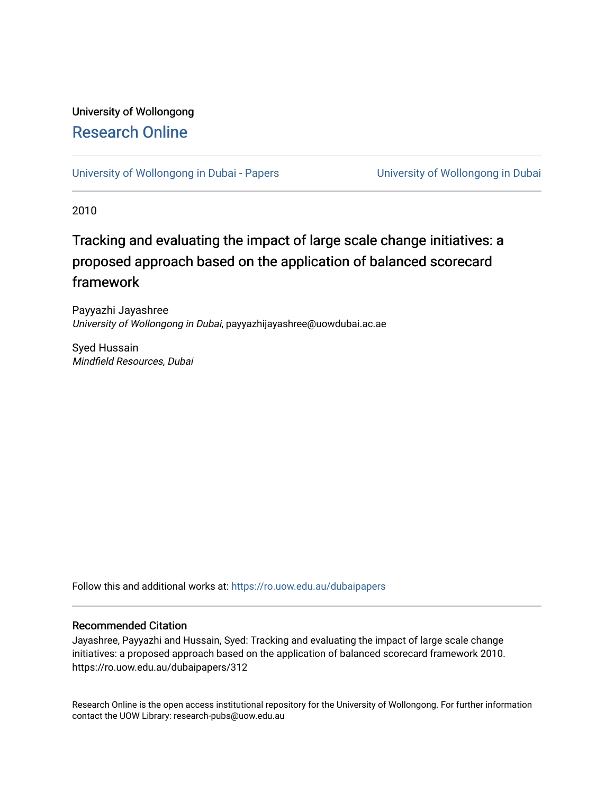# University of Wollongong [Research Online](https://ro.uow.edu.au/)

[University of Wollongong in Dubai - Papers](https://ro.uow.edu.au/dubaipapers) **University of Wollongong in Dubai** 

2010

# Tracking and evaluating the impact of large scale change initiatives: a proposed approach based on the application of balanced scorecard framework

Payyazhi Jayashree University of Wollongong in Dubai, payyazhijayashree@uowdubai.ac.ae

Syed Hussain Mindfield Resources, Dubai

Follow this and additional works at: [https://ro.uow.edu.au/dubaipapers](https://ro.uow.edu.au/dubaipapers?utm_source=ro.uow.edu.au%2Fdubaipapers%2F312&utm_medium=PDF&utm_campaign=PDFCoverPages) 

### Recommended Citation

Jayashree, Payyazhi and Hussain, Syed: Tracking and evaluating the impact of large scale change initiatives: a proposed approach based on the application of balanced scorecard framework 2010. https://ro.uow.edu.au/dubaipapers/312

Research Online is the open access institutional repository for the University of Wollongong. For further information contact the UOW Library: research-pubs@uow.edu.au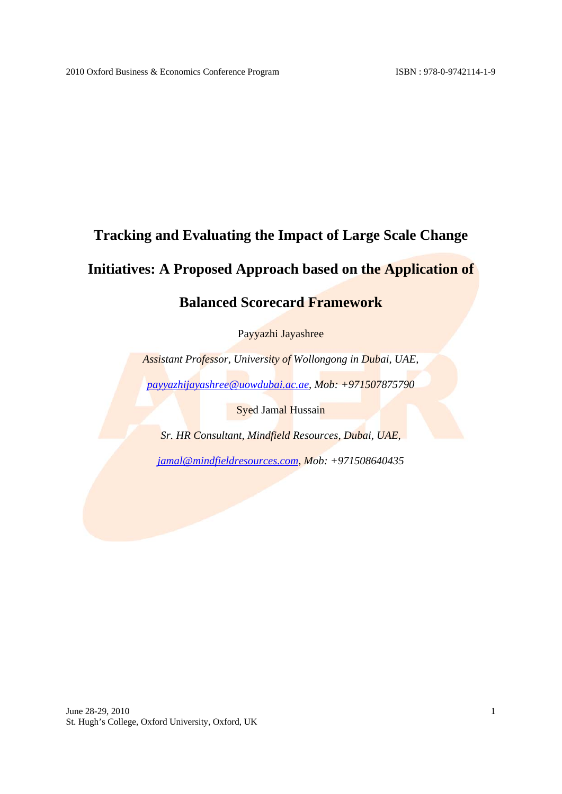# **Tracking and Evaluating the Impact of Large Scale Change**

# **Initiatives: A Proposed Approach based on the Application of**

## **Balanced Scorecard Framework**

Payyazhi Jayashree

*Assistant Professor, University of Wollongong in Dubai, UAE,* 

*payyazhijayashree@uowdubai.ac.ae, Mob: +971507875790* 

**Syed Jamal Hussain** 

*Sr. HR Consultant, Mindfield Resources, Dubai, UAE,* 

*jamal@mindfieldresources.com, Mob: +971508640435*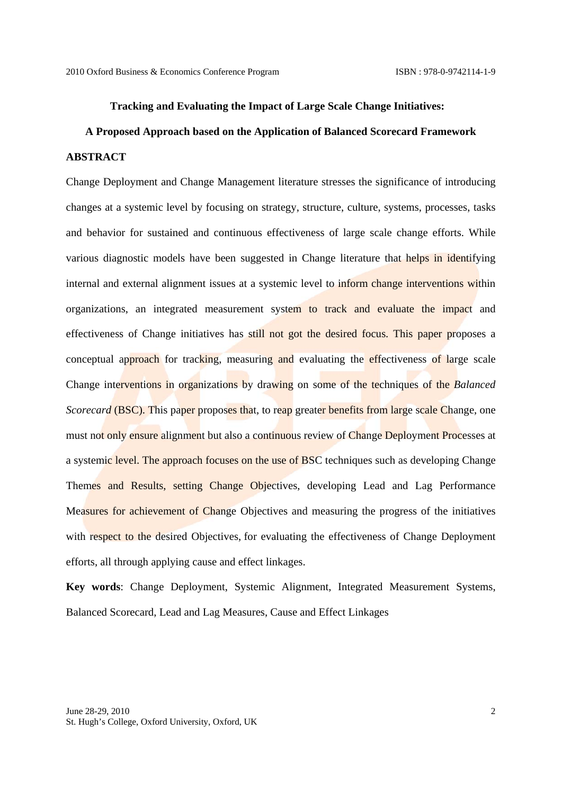#### **Tracking and Evaluating the Impact of Large Scale Change Initiatives:**

# **A Proposed Approach based on the Application of Balanced Scorecard Framework ABSTRACT**

Change Deployment and Change Management literature stresses the significance of introducing changes at a systemic level by focusing on strategy, structure, culture, systems, processes, tasks and behavior for sustained and continuous effectiveness of large scale change efforts. While various diagnostic models have been suggested in Change literature that helps in identifying internal and external alignment issues at a systemic level to inform change interventions within organizations, an integrated measurement system to track and evaluate the impact and effectiveness of Change initiatives has still not got the desired focus. This paper proposes a conceptual approach for tracking, measuring and evaluating the effectiveness of large scale Change interventions in organizations by drawing on some of the techniques of the *Balanced Scorecard* (BSC). This paper proposes that, to reap greater benefits from large scale Change, one must not only ensure alignment but also a continuous review of Change Deployment Processes at a systemic level. The approach focuses on the use of BSC techniques such as developing Change Themes and Results, setting Change Objectives, developing Lead and Lag Performance Measures for achievement of Change Objectives and measuring the progress of the initiatives with respect to the desired Objectives, for evaluating the effectiveness of Change Deployment efforts, all through applying cause and effect linkages.

**Key words**: Change Deployment, Systemic Alignment, Integrated Measurement Systems, Balanced Scorecard, Lead and Lag Measures, Cause and Effect Linkages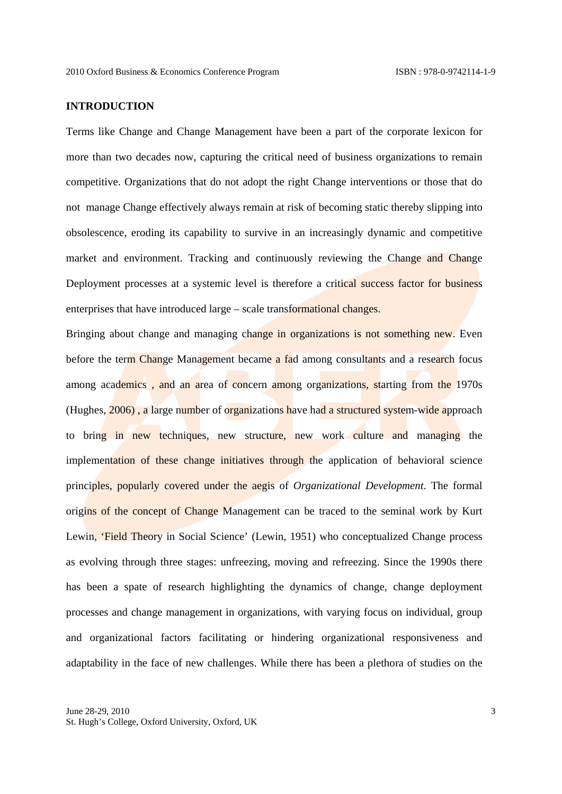### **INTRODUCTION**

Terms like Change and Change Management have been a part of the corporate lexicon for more than two decades now, capturing the critical need of business organizations to remain competitive. Organizations that do not adopt the right Change interventions or those that do not manage Change effectively always remain at risk of becoming static thereby slipping into obsolescence, eroding its capability to survive in an increasingly dynamic and competitive market and environment. Tracking and continuously reviewing the Change and Change Deployment processes at a systemic level is therefore a critical success factor for business enterprises that have introduced large – scale transformational changes.

Bringing about change and managing change in organizations is not something new. Even before the term Change Management became a fad among consultants and a research focus among academics, and an area of concern among organizations, starting from the 1970s (Hughes, 2006) , a large number of organizations have had a structured system-wide approach to bring in new techniques, new structure, new work culture and managing the implementation of these change initiatives through the application of behavioral science principles, popularly covered under the aegis of *Organizational Development*. The formal origins of the concept of Change Management can be traced to the seminal work by Kurt Lewin, 'Field Theory in Social Science' (Lewin, 1951) who conceptualized Change process as evolving through three stages: unfreezing, moving and refreezing. Since the 1990s there has been a spate of research highlighting the dynamics of change, change deployment processes and change management in organizations, with varying focus on individual, group and organizational factors facilitating or hindering organizational responsiveness and adaptability in the face of new challenges. While there has been a plethora of studies on the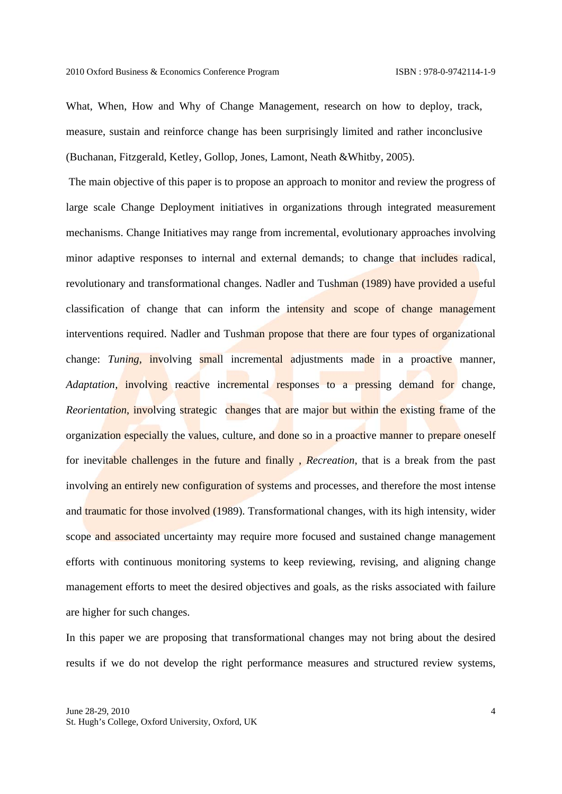What, When, How and Why of Change Management, research on how to deploy, track, measure, sustain and reinforce change has been surprisingly limited and rather inconclusive (Buchanan, Fitzgerald, Ketley, Gollop, Jones, Lamont, Neath &Whitby, 2005).

 The main objective of this paper is to propose an approach to monitor and review the progress of large scale Change Deployment initiatives in organizations through integrated measurement mechanisms. Change Initiatives may range from incremental, evolutionary approaches involving minor adaptive responses to internal and external demands; to change that includes radical, revolutionary and transformational changes. Nadler and Tushman (1989) have provided a useful classification of change that can inform the intensity and scope of change management interventions required. Nadler and Tushman propose that there are four types of organizational change: *Tuning*, involving small incremental adjustments made in a proactive manner, *Adaptation*, *involving* reactive incremental responses to a pressing demand for change, *Reorientation*, involving strategic changes that are major but within the existing frame of the organization especially the values, culture, and done so in a proactive manner to prepare oneself for inevitable challenges in the future and finally , *Recreation*, that is a break from the past involving an entirely new configuration of systems and processes, and therefore the most intense and traumatic for those involved (1989). Transformational changes, with its high intensity, wider scope and associated uncertainty may require more focused and sustained change management efforts with continuous monitoring systems to keep reviewing, revising, and aligning change management efforts to meet the desired objectives and goals, as the risks associated with failure are higher for such changes.

In this paper we are proposing that transformational changes may not bring about the desired results if we do not develop the right performance measures and structured review systems,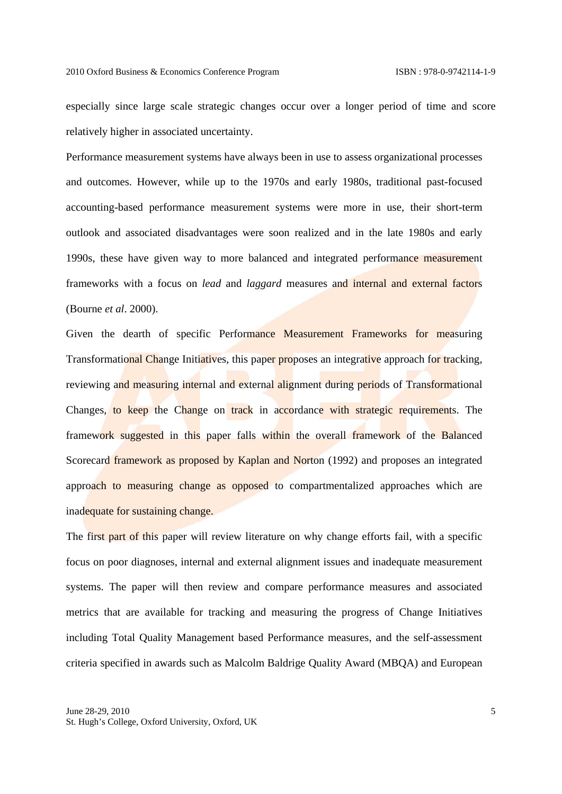especially since large scale strategic changes occur over a longer period of time and score relatively higher in associated uncertainty.

Performance measurement systems have always been in use to assess organizational processes and outcomes. However, while up to the 1970s and early 1980s, traditional past-focused accounting-based performance measurement systems were more in use, their short-term outlook and associated disadvantages were soon realized and in the late 1980s and early 1990s, these have given way to more balanced and integrated performance measurement frameworks with a focus on *lead* and *laggard* measures and internal and external factors (Bourne *et al*. 2000).

Given the dearth of specific Performance Measurement Frameworks for measuring Transformational Change Initiatives, this paper proposes an integrative approach for tracking, reviewing and measuring internal and external alignment during periods of Transformational Changes, to keep the Change on track in accordance with strategic requirements. The framework suggested in this paper falls within the overall framework of the Balanced Scorecard framework as proposed by Kaplan and Norton (1992) and proposes an integrated approach to measuring change as opposed to compartmentalized approaches which are inadequate for sustaining change.

The first part of this paper will review literature on why change efforts fail, with a specific focus on poor diagnoses, internal and external alignment issues and inadequate measurement systems. The paper will then review and compare performance measures and associated metrics that are available for tracking and measuring the progress of Change Initiatives including Total Quality Management based Performance measures, and the self-assessment criteria specified in awards such as Malcolm Baldrige Quality Award (MBQA) and European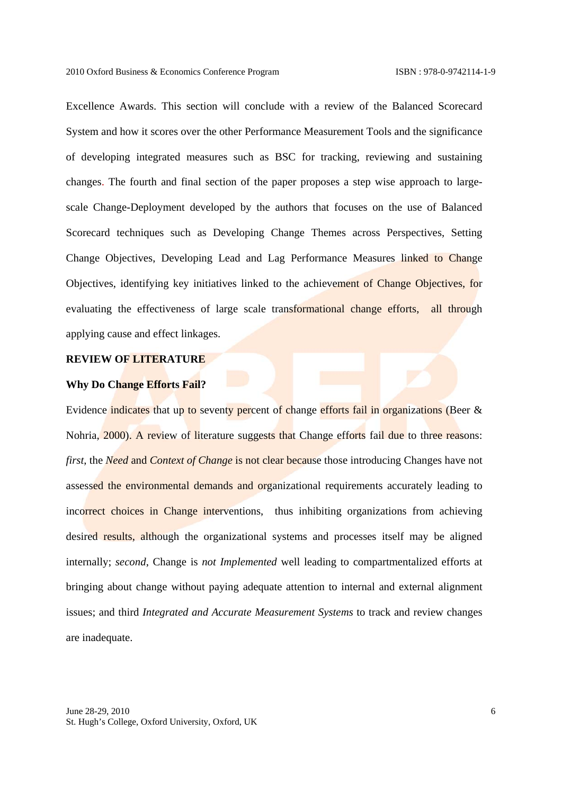Excellence Awards. This section will conclude with a review of the Balanced Scorecard System and how it scores over the other Performance Measurement Tools and the significance of developing integrated measures such as BSC for tracking, reviewing and sustaining changes. The fourth and final section of the paper proposes a step wise approach to largescale Change-Deployment developed by the authors that focuses on the use of Balanced Scorecard techniques such as Developing Change Themes across Perspectives, Setting Change Objectives, Developing Lead and Lag Performance Measures linked to Change Objectives, identifying key initiatives linked to the achievement of Change Objectives, for evaluating the effectiveness of large scale transformational change efforts, all through applying cause and effect linkages.

### **REVIEW OF LITERATURE**

### **Why Do Change Efforts Fail?**

Evidence indicates that up to seventy percent of change efforts fail in organizations (Beer & Nohria, 2000). A review of literature suggests that Change efforts fail due to three reasons: *first*, the *Need* and *Context of Change* is not clear because those introducing Changes have not assessed the environmental demands and organizational requirements accurately leading to incorrect choices in Change interventions, thus inhibiting organizations from achieving desired results, although the organizational systems and processes itself may be aligned internally; *second*, Change is *not Implemented* well leading to compartmentalized efforts at bringing about change without paying adequate attention to internal and external alignment issues; and third *Integrated and Accurate Measurement Systems* to track and review changes are inadequate.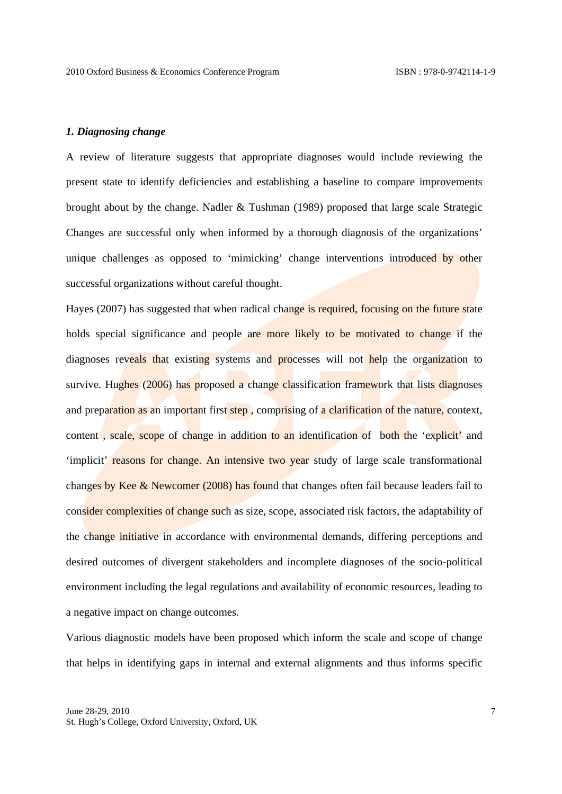### *1. Diagnosing change*

A review of literature suggests that appropriate diagnoses would include reviewing the present state to identify deficiencies and establishing a baseline to compare improvements brought about by the change. Nadler & Tushman (1989) proposed that large scale Strategic Changes are successful only when informed by a thorough diagnosis of the organizations' unique challenges as opposed to 'mimicking' change interventions introduced by other successful organizations without careful thought.

Hayes (2007) has suggested that when radical change is required, focusing on the future state holds special significance and people are more likely to be motivated to change if the diagnoses reveals that existing systems and processes will not help the organization to survive. Hughes (2006) has proposed a change classification framework that lists diagnoses and preparation as an important first step, comprising of a clarification of the nature, context, content, scale, scope of change in addition to an identification of both the 'explicit' and 'implicit' reasons for change. An intensive two year study of large scale transformational changes by Kee & Newcomer (2008) has found that changes often fail because leaders fail to consider complexities of change such as size, scope, associated risk factors, the adaptability of the change initiative in accordance with environmental demands, differing perceptions and desired outcomes of divergent stakeholders and incomplete diagnoses of the socio-political environment including the legal regulations and availability of economic resources, leading to a negative impact on change outcomes.

Various diagnostic models have been proposed which inform the scale and scope of change that helps in identifying gaps in internal and external alignments and thus informs specific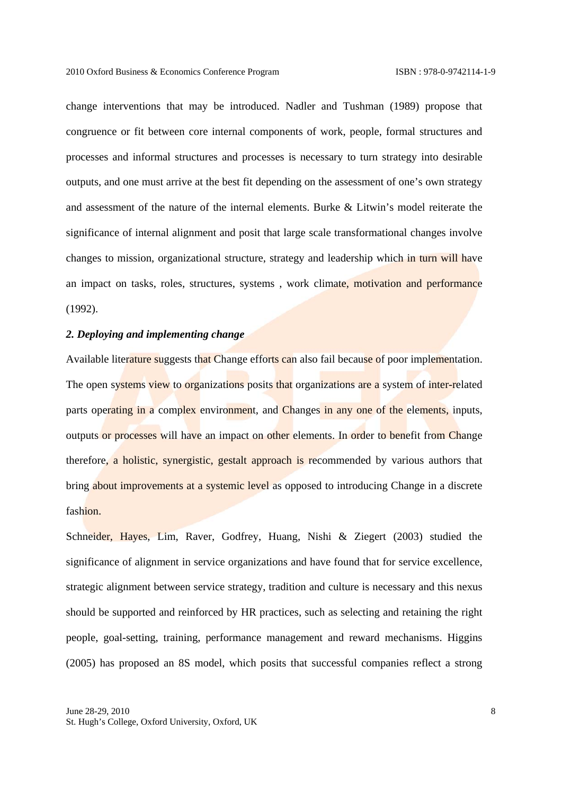change interventions that may be introduced. Nadler and Tushman (1989) propose that congruence or fit between core internal components of work, people, formal structures and processes and informal structures and processes is necessary to turn strategy into desirable outputs, and one must arrive at the best fit depending on the assessment of one's own strategy and assessment of the nature of the internal elements. Burke & Litwin's model reiterate the significance of internal alignment and posit that large scale transformational changes involve changes to mission, organizational structure, strategy and leadership which in turn will have an impact on tasks, roles, structures, systems , work climate, motivation and performance (1992).

### *2. Deploying and implementing change*

Available literature suggests that Change efforts can also fail because of poor implementation. The open systems view to organizations posits that organizations are a system of inter-related parts operating in a complex environment, and Changes in any one of the elements, inputs, outputs or processes will have an impact on other elements. In order to benefit from Change therefore, a holistic, synergistic, gestalt approach is recommended by various authors that bring about improvements at a systemic level as opposed to introducing Change in a discrete fashion.

Schneider, Hayes, Lim, Raver, Godfrey, Huang, Nishi & Ziegert (2003) studied the significance of alignment in service organizations and have found that for service excellence, strategic alignment between service strategy, tradition and culture is necessary and this nexus should be supported and reinforced by HR practices, such as selecting and retaining the right people, goal-setting, training, performance management and reward mechanisms. Higgins (2005) has proposed an 8S model, which posits that successful companies reflect a strong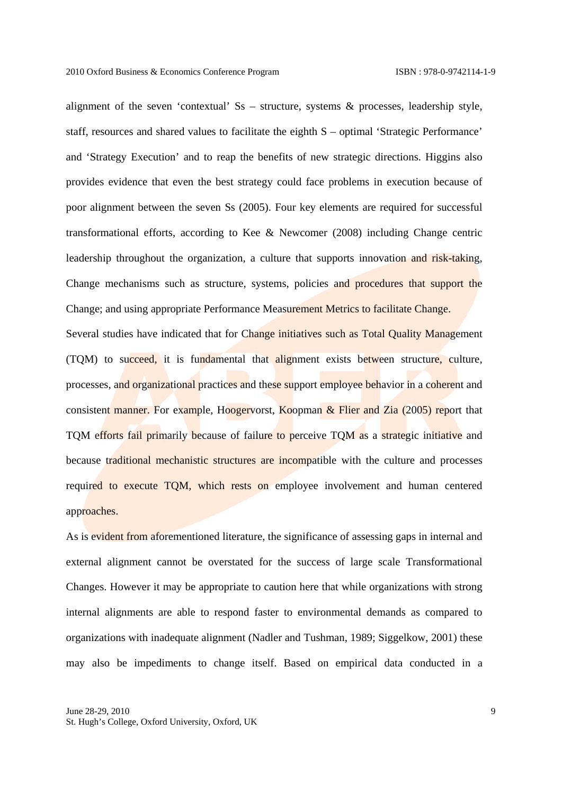alignment of the seven 'contextual' Ss – structure, systems & processes, leadership style, staff, resources and shared values to facilitate the eighth S – optimal 'Strategic Performance' and 'Strategy Execution' and to reap the benefits of new strategic directions. Higgins also provides evidence that even the best strategy could face problems in execution because of poor alignment between the seven Ss (2005). Four key elements are required for successful transformational efforts, according to Kee & Newcomer (2008) including Change centric leadership throughout the organization, a culture that supports innovation and risk-taking, Change mechanisms such as structure, systems, policies and procedures that support the Change; and using appropriate Performance Measurement Metrics to facilitate Change.

Several studies have indicated that for Change initiatives such as Total Quality Management (TQM) to succeed, it is fundamental that alignment exists between structure, culture, processes, and organizational practices and these support employee behavior in a coherent and consistent manner. For example, Hoogervorst, Koopman  $\&$  Flier and Zia (2005) report that TQM efforts fail primarily because of failure to perceive TQM as a strategic initiative and because traditional mechanistic structures are incompatible with the culture and processes required to execute TQM, which rests on employee involvement and human centered approaches.

As is evident from aforementioned literature, the significance of assessing gaps in internal and external alignment cannot be overstated for the success of large scale Transformational Changes. However it may be appropriate to caution here that while organizations with strong internal alignments are able to respond faster to environmental demands as compared to organizations with inadequate alignment (Nadler and Tushman, 1989; Siggelkow, 2001) these may also be impediments to change itself. Based on empirical data conducted in a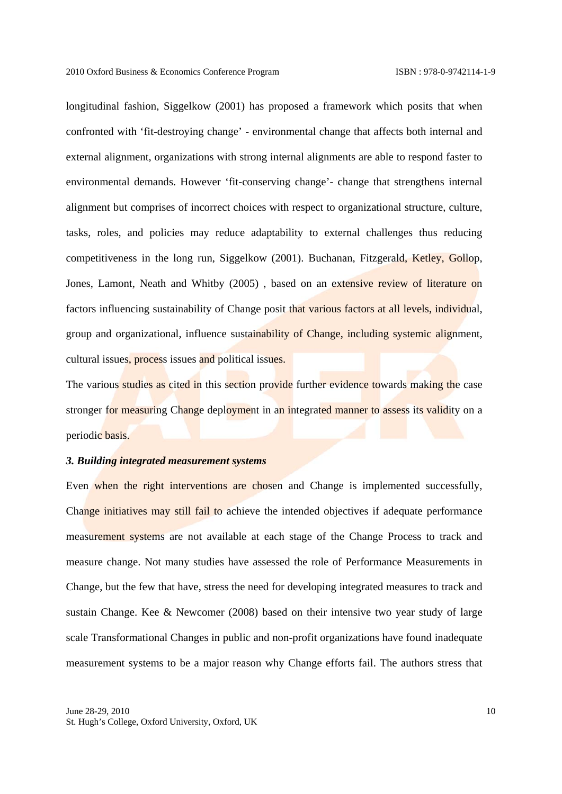longitudinal fashion, Siggelkow (2001) has proposed a framework which posits that when confronted with 'fit-destroying change' - environmental change that affects both internal and external alignment, organizations with strong internal alignments are able to respond faster to environmental demands. However 'fit-conserving change'- change that strengthens internal alignment but comprises of incorrect choices with respect to organizational structure, culture, tasks, roles, and policies may reduce adaptability to external challenges thus reducing competitiveness in the long run, Siggelkow (2001). Buchanan, Fitzgerald, Ketley, Gollop, Jones, Lamont, Neath and Whitby (2005) , based on an extensive review of literature on factors influencing sustainability of Change posit that various factors at all levels, individual, group and organizational, influence sustainability of Change, including systemic alignment, cultural issues, process issues and political issues.

The various studies as cited in this section provide further evidence towards making the case stronger for measuring Change deployment in an integrated manner to assess its validity on a periodic basis.

#### *3. Building integrated measurement systems*

Even when the right interventions are chosen and Change is implemented successfully, Change initiatives may still fail to achieve the intended objectives if adequate performance measurement systems are not available at each stage of the Change Process to track and measure change. Not many studies have assessed the role of Performance Measurements in Change, but the few that have, stress the need for developing integrated measures to track and sustain Change. Kee & Newcomer (2008) based on their intensive two year study of large scale Transformational Changes in public and non-profit organizations have found inadequate measurement systems to be a major reason why Change efforts fail. The authors stress that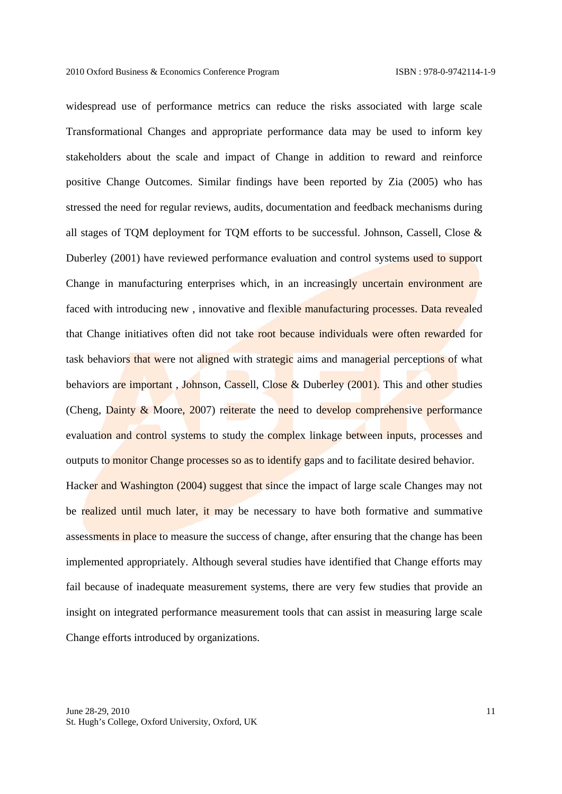widespread use of performance metrics can reduce the risks associated with large scale Transformational Changes and appropriate performance data may be used to inform key stakeholders about the scale and impact of Change in addition to reward and reinforce positive Change Outcomes. Similar findings have been reported by Zia (2005) who has stressed the need for regular reviews, audits, documentation and feedback mechanisms during all stages of TQM deployment for TQM efforts to be successful. Johnson, Cassell, Close & Duberley (2001) have reviewed performance evaluation and control systems used to support Change in manufacturing enterprises which, in an increasingly uncertain environment are faced with introducing new , innovative and flexible manufacturing processes. Data revealed that Change initiatives often did not take root because individuals were often rewarded for task behaviors that were not aligned with strategic aims and managerial perceptions of what behaviors are important, Johnson, Cassell, Close & Duberley (2001). This and other studies (Cheng,  $D_{\text{ainty}} \& \text{Moore}, 2007$ ) reiterate the need to develop comprehensive performance evaluation and control systems to study the complex linkage between inputs, processes and outputs to monitor Change processes so as to identify gaps and to facilitate desired behavior. Hacker and Washington (2004) suggest that since the impact of large scale Changes may not be realized until much later, it may be necessary to have both formative and summative assessments in place to measure the success of change, after ensuring that the change has been implemented appropriately. Although several studies have identified that Change efforts may fail because of inadequate measurement systems, there are very few studies that provide an insight on integrated performance measurement tools that can assist in measuring large scale

Change efforts introduced by organizations.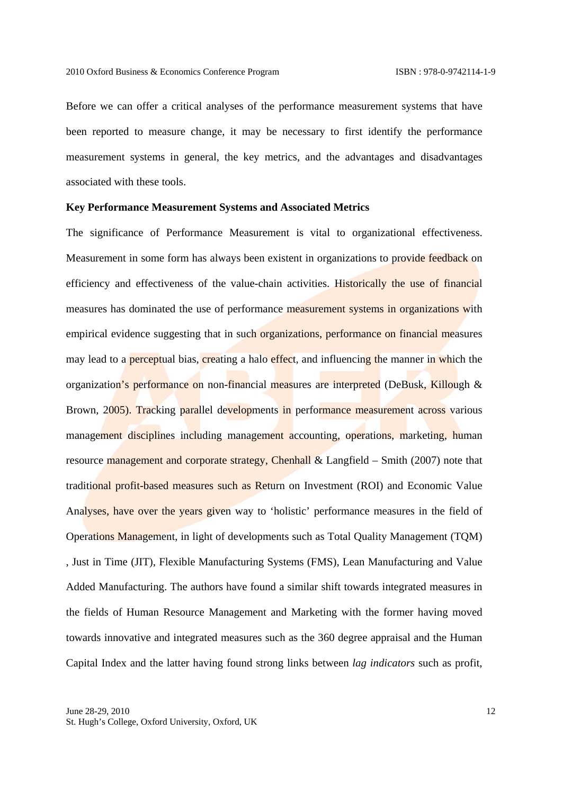Before we can offer a critical analyses of the performance measurement systems that have been reported to measure change, it may be necessary to first identify the performance measurement systems in general, the key metrics, and the advantages and disadvantages associated with these tools.

## **Key Performance Measurement Systems and Associated Metrics**

The significance of Performance Measurement is vital to organizational effectiveness. Measurement in some form has always been existent in organizations to provide feedback on efficiency and effectiveness of the value-chain activities. Historically the use of financial measures has dominated the use of performance measurement systems in organizations with empirical evidence suggesting that in such organizations, performance on financial measures may lead to a **perceptual bias**, creating a halo effect, and influencing the manner in which the organization's performance on non-financial measures are interpreted (DeBusk, Killough & Brown, 2005). Tracking parallel developments in performance measurement across various management disciplines including management accounting, operations, marketing, human resource management and corporate strategy, Chenhall & Langfield – Smith (2007) note that traditional profit-based measures such as Return on Investment (ROI) and Economic Value Analyses, have over the years given way to 'holistic' performance measures in the field of Operations Management, in light of developments such as Total Quality Management (TQM) , Just in Time (JIT), Flexible Manufacturing Systems (FMS), Lean Manufacturing and Value Added Manufacturing. The authors have found a similar shift towards integrated measures in the fields of Human Resource Management and Marketing with the former having moved towards innovative and integrated measures such as the 360 degree appraisal and the Human Capital Index and the latter having found strong links between *lag indicators* such as profit,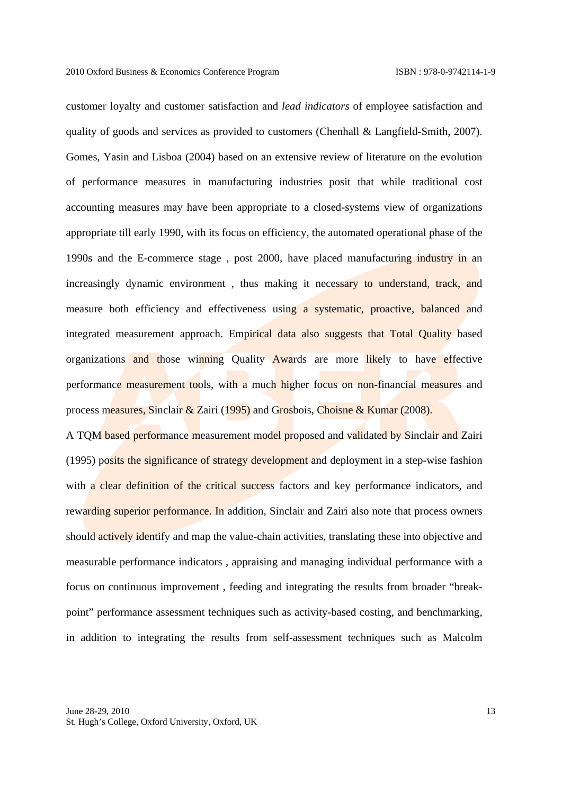customer loyalty and customer satisfaction and *lead indicators* of employee satisfaction and quality of goods and services as provided to customers (Chenhall & Langfield-Smith, 2007). Gomes, Yasin and Lisboa (2004) based on an extensive review of literature on the evolution of performance measures in manufacturing industries posit that while traditional cost accounting measures may have been appropriate to a closed-systems view of organizations appropriate till early 1990, with its focus on efficiency, the automated operational phase of the 1990s and the E-commerce stage , post 2000, have placed manufacturing industry in an increasingly dynamic environment , thus making it necessary to understand, track, and measure both efficiency and effectiveness using a systematic, proactive, balanced and integrated measurement approach. Empirical data also suggests that Total Quality based organizations and those winning Quality Awards are more likely to have effective performance measurement tools, with a much higher focus on non-financial measures and process measures, Sinclair & Zairi (1995) and Grosbois, Choisne & Kumar (2008).

A TQM based performance measurement model proposed and validated by Sinclair and Zairi (1995) posits the significance of strategy development and deployment in a step-wise fashion with a clear definition of the critical success factors and key performance indicators, and rewarding superior performance. In addition, Sinclair and Zairi also note that process owners should actively identify and map the value-chain activities, translating these into objective and measurable performance indicators , appraising and managing individual performance with a focus on continuous improvement , feeding and integrating the results from broader "breakpoint" performance assessment techniques such as activity-based costing, and benchmarking, in addition to integrating the results from self-assessment techniques such as Malcolm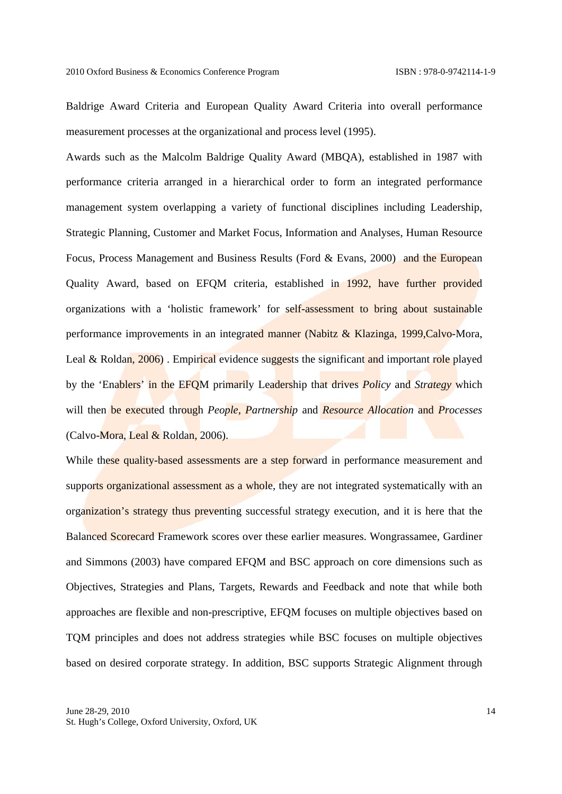Baldrige Award Criteria and European Quality Award Criteria into overall performance measurement processes at the organizational and process level (1995).

Awards such as the Malcolm Baldrige Quality Award (MBQA), established in 1987 with performance criteria arranged in a hierarchical order to form an integrated performance management system overlapping a variety of functional disciplines including Leadership, Strategic Planning, Customer and Market Focus, Information and Analyses, Human Resource Focus, Process Management and Business Results (Ford & Evans, 2000) and the European Quality Award, based on EFQM criteria, established in 1992, have further provided organizations with a 'holistic framework' for self-assessment to bring about sustainable performance improvements in an integrated manner (Nabitz & Klazinga, 1999,Calvo-Mora, Leal & Roldan,  $2006$ ). Empirical evidence suggests the significant and important role played by the 'Enablers' in the EFQM primarily Leadership that drives *Policy* and *Strategy* which will then be executed through *People*, *Partnership* and *Resource Allocation* and *Processes* (Calvo-Mora, Leal & Roldan, 2006).

While these quality-based assessments are a step forward in performance measurement and supports organizational assessment as a whole, they are not integrated systematically with an organization's strategy thus preventing successful strategy execution, and it is here that the Balanced Scorecard Framework scores over these earlier measures. Wongrassamee, Gardiner and Simmons (2003) have compared EFQM and BSC approach on core dimensions such as Objectives, Strategies and Plans, Targets, Rewards and Feedback and note that while both approaches are flexible and non-prescriptive, EFQM focuses on multiple objectives based on TQM principles and does not address strategies while BSC focuses on multiple objectives based on desired corporate strategy. In addition, BSC supports Strategic Alignment through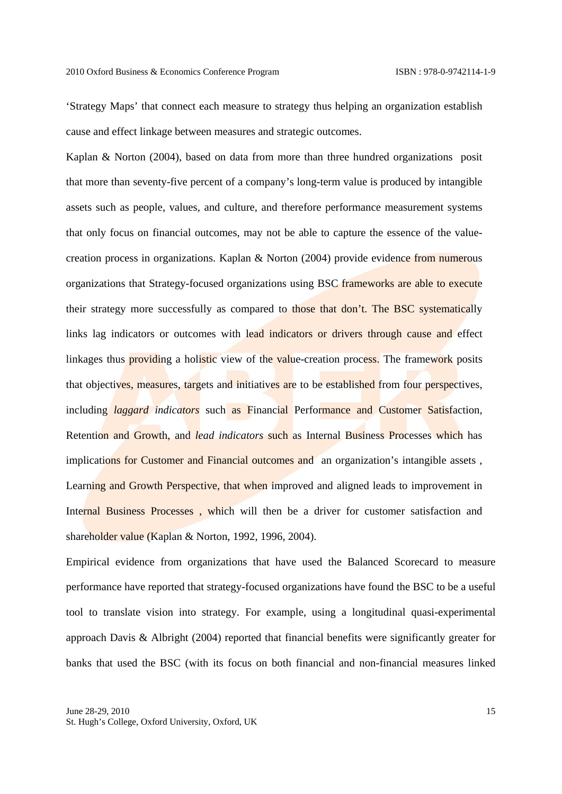'Strategy Maps' that connect each measure to strategy thus helping an organization establish cause and effect linkage between measures and strategic outcomes.

Kaplan & Norton (2004), based on data from more than three hundred organizations posit that more than seventy-five percent of a company's long-term value is produced by intangible assets such as people, values, and culture, and therefore performance measurement systems that only focus on financial outcomes, may not be able to capture the essence of the valuecreation process in organizations. Kaplan & Norton (2004) provide evidence from numerous organizations that Strategy-focused organizations using BSC frameworks are able to execute their strategy more successfully as compared to those that don't. The BSC systematically links lag indicators or outcomes with lead indicators or drivers through cause and effect linkages thus **providing** a holistic view of the value-creation process. The framework posits that objectives, measures, targets and initiatives are to be established from four perspectives, including *laggard indicators* such as Financial Performance and Customer Satisfaction, Retention and Growth, and *lead indicators* such as Internal Business Processes which has implications for Customer and Financial outcomes and an organization's intangible assets , Learning and Growth Perspective, that when improved and aligned leads to improvement in Internal Business Processes, which will then be a driver for customer satisfaction and shareholder value (Kaplan & Norton, 1992, 1996, 2004).

Empirical evidence from organizations that have used the Balanced Scorecard to measure performance have reported that strategy-focused organizations have found the BSC to be a useful tool to translate vision into strategy. For example, using a longitudinal quasi-experimental approach Davis & Albright (2004) reported that financial benefits were significantly greater for banks that used the BSC (with its focus on both financial and non-financial measures linked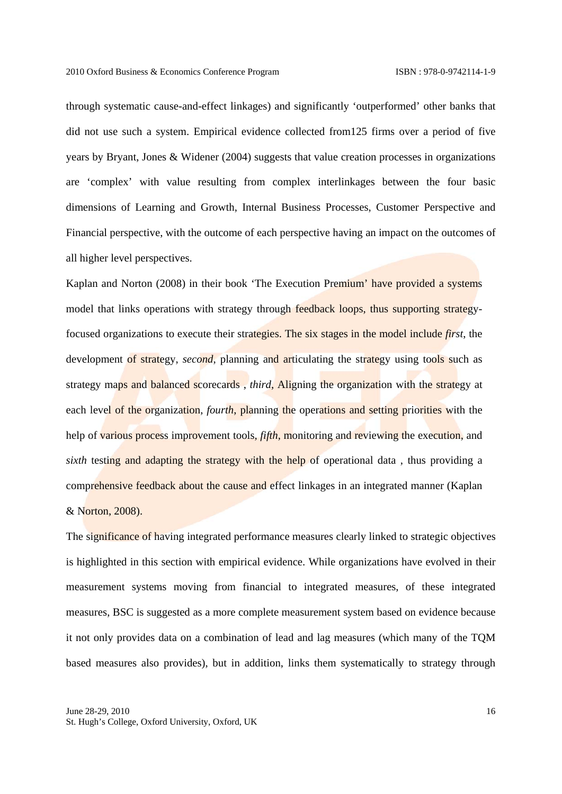through systematic cause-and-effect linkages) and significantly 'outperformed' other banks that did not use such a system. Empirical evidence collected from125 firms over a period of five years by Bryant, Jones & Widener (2004) suggests that value creation processes in organizations are 'complex' with value resulting from complex interlinkages between the four basic dimensions of Learning and Growth, Internal Business Processes, Customer Perspective and Financial perspective, with the outcome of each perspective having an impact on the outcomes of all higher level perspectives.

Kaplan and Norton (2008) in their book 'The Execution Premium' have provided a systems model that links operations with strategy through feedback loops, thus supporting strategyfocused organizations to execute their strategies. The six stages in the model include *first*, the development of strategy, *second*, planning and articulating the strategy using tools such as strategy maps and balanced scorecards , *third*, Aligning the organization with the strategy at each level of the organization, *fourth*, planning the operations and setting priorities with the help of various process improvement tools, *fifth*, monitoring and reviewing the execution, and *sixth* testing and adapting the strategy with the help of operational data, thus providing a comprehensive feedback about the cause and effect linkages in an integrated manner (Kaplan & Norton, 2008).

The significance of having integrated performance measures clearly linked to strategic objectives is highlighted in this section with empirical evidence. While organizations have evolved in their measurement systems moving from financial to integrated measures, of these integrated measures, BSC is suggested as a more complete measurement system based on evidence because it not only provides data on a combination of lead and lag measures (which many of the TQM based measures also provides), but in addition, links them systematically to strategy through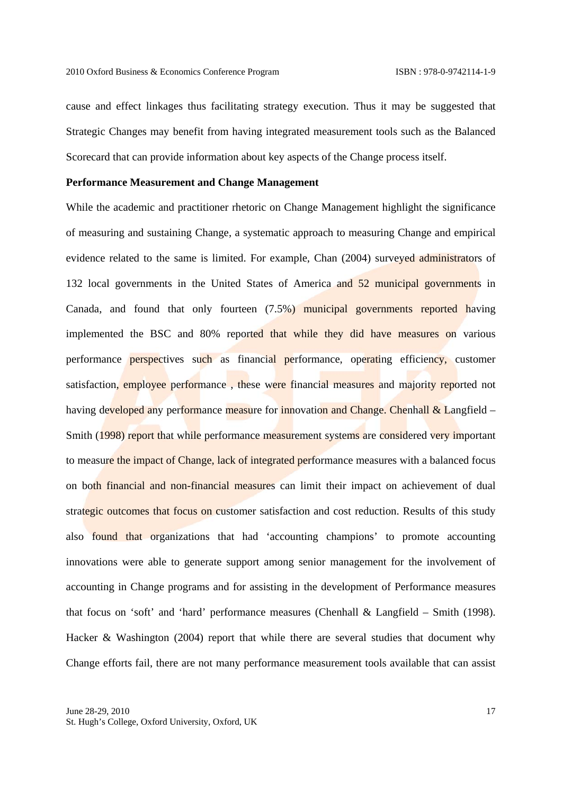cause and effect linkages thus facilitating strategy execution. Thus it may be suggested that Strategic Changes may benefit from having integrated measurement tools such as the Balanced Scorecard that can provide information about key aspects of the Change process itself.

## **Performance Measurement and Change Management**

While the academic and practitioner rhetoric on Change Management highlight the significance of measuring and sustaining Change, a systematic approach to measuring Change and empirical evidence related to the same is limited. For example, Chan (2004) surveyed administrators of 132 local governments in the United States of America and 52 municipal governments in Canada, and found that only fourteen (7.5%) municipal governments reported having implemented the BSC and 80% reported that while they did have measures on various performance perspectives such as financial performance, operating efficiency, customer satisfaction, employee performance, these were financial measures and majority reported not having developed any performance measure for innovation and Change. Chenhall  $\&$  Langfield – Smith (1998) report that while performance measurement systems are considered very important to measure the impact of Change, lack of integrated performance measures with a balanced focus on both financial and non-financial measures can limit their impact on achievement of dual strategic outcomes that focus on customer satisfaction and cost reduction. Results of this study also found that organizations that had 'accounting champions' to promote accounting innovations were able to generate support among senior management for the involvement of accounting in Change programs and for assisting in the development of Performance measures that focus on 'soft' and 'hard' performance measures (Chenhall & Langfield – Smith (1998). Hacker & Washington (2004) report that while there are several studies that document why Change efforts fail, there are not many performance measurement tools available that can assist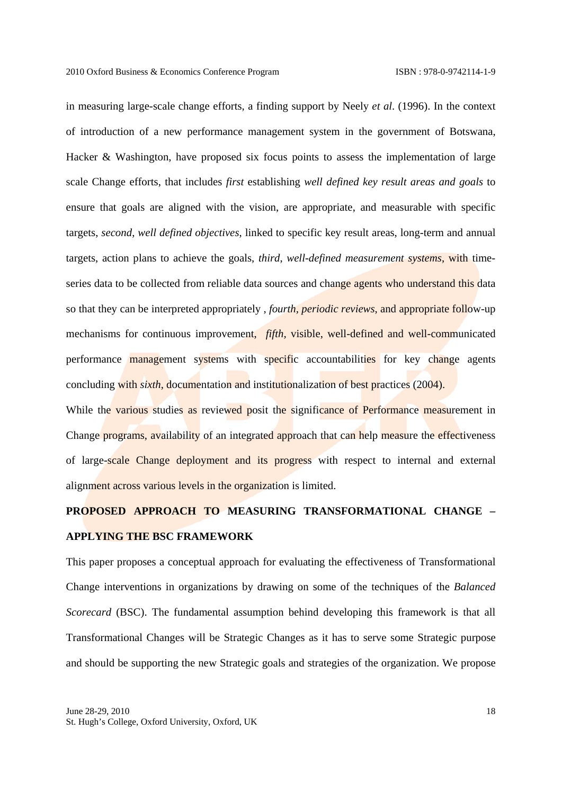in measuring large-scale change efforts, a finding support by Neely *et al*. (1996). In the context of introduction of a new performance management system in the government of Botswana, Hacker & Washington, have proposed six focus points to assess the implementation of large scale Change efforts, that includes *first* establishing *well defined key result areas and goals* to ensure that goals are aligned with the vision, are appropriate, and measurable with specific targets, *second*, *well defined objectives*, linked to specific key result areas, long-term and annual targets, action plans to achieve the goals, *third*, *well-defined measurement systems*, with timeseries data to be collected from reliable data sources and change agents who understand this data so that they can be interpreted appropriately , *fourth, periodic reviews*, and appropriate follow-up mechanisms for continuous improvement, *fifth,* visible, well-defined and well-communicated performance management systems with specific accountabilities for key change agents concluding with *sixth*, documentation and institutionalization of best practices (2004).

While the various studies as reviewed posit the significance of Performance measurement in Change programs, availability of an integrated approach that can help measure the effectiveness of large-scale Change deployment and its progress with respect to internal and external alignment across various levels in the organization is limited.

# **PROPOSED APPROACH TO MEASURING TRANSFORMATIONAL CHANGE – APPLYING THE BSC FRAMEWORK**

This paper proposes a conceptual approach for evaluating the effectiveness of Transformational Change interventions in organizations by drawing on some of the techniques of the *Balanced Scorecard* (BSC). The fundamental assumption behind developing this framework is that all Transformational Changes will be Strategic Changes as it has to serve some Strategic purpose and should be supporting the new Strategic goals and strategies of the organization. We propose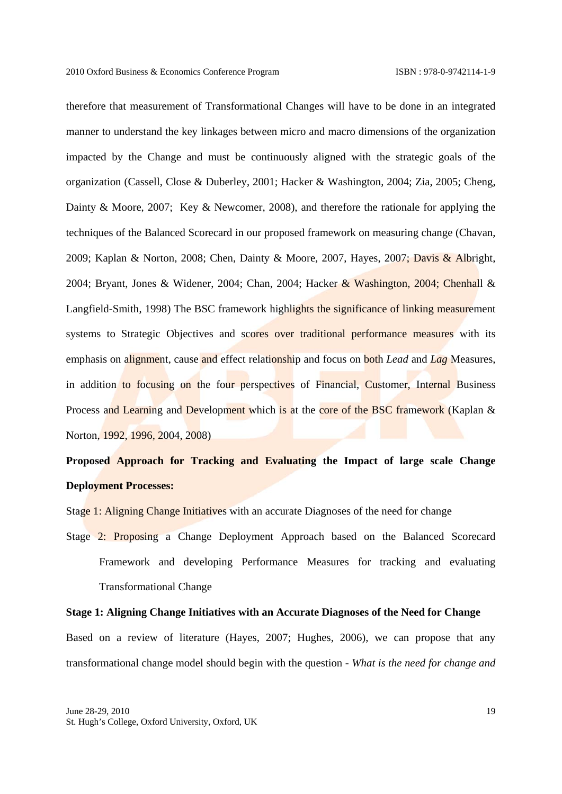therefore that measurement of Transformational Changes will have to be done in an integrated manner to understand the key linkages between micro and macro dimensions of the organization impacted by the Change and must be continuously aligned with the strategic goals of the organization (Cassell, Close & Duberley, 2001; Hacker & Washington, 2004; Zia, 2005; Cheng, Dainty & Moore, 2007; Key & Newcomer, 2008), and therefore the rationale for applying the techniques of the Balanced Scorecard in our proposed framework on measuring change (Chavan, 2009; Kaplan & Norton, 2008; Chen, Dainty & Moore, 2007, Hayes, 2007; Davis & Albright, 2004; Bryant, Jones & Widener, 2004; Chan, 2004; Hacker & Washington, 2004; Chenhall & Langfield-Smith, 1998) The BSC framework highlights the significance of linking measurement systems to Strategic Objectives and scores over traditional performance measures with its emphasis on alignment, cause and effect relationship and focus on both *Lead* and *Lag* Measures, in addition to focusing on the four perspectives of Financial, Customer, Internal Business Process and Learning and Development which is at the core of the BSC framework (Kaplan & Norton, 1992, 1996, 2004, 2008)

# **Proposed Approach for Tracking and Evaluating the Impact of large scale Change Deployment Processes:**

Stage 1: Aligning Change Initiatives with an accurate Diagnoses of the need for change

Stage 2: Proposing a Change Deployment Approach based on the Balanced Scorecard Framework and developing Performance Measures for tracking and evaluating Transformational Change

#### **Stage 1: Aligning Change Initiatives with an Accurate Diagnoses of the Need for Change**

Based on a review of literature (Hayes, 2007; Hughes, 2006), we can propose that any transformational change model should begin with the question - *What is the need for change and*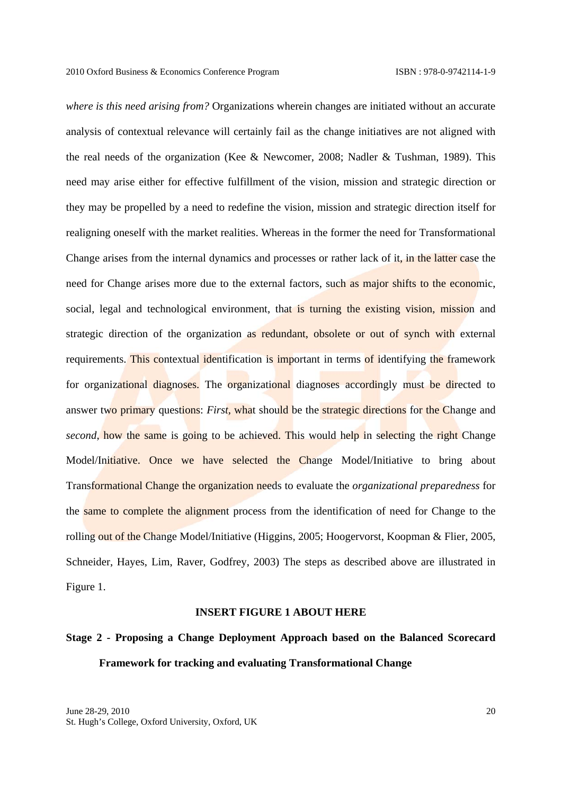*where is this need arising from?* Organizations wherein changes are initiated without an accurate analysis of contextual relevance will certainly fail as the change initiatives are not aligned with the real needs of the organization (Kee & Newcomer, 2008; Nadler & Tushman, 1989). This need may arise either for effective fulfillment of the vision, mission and strategic direction or they may be propelled by a need to redefine the vision, mission and strategic direction itself for realigning oneself with the market realities. Whereas in the former the need for Transformational Change arises from the internal dynamics and processes or rather lack of it, in the latter case the need for Change arises more due to the external factors, such as major shifts to the economic, social, legal and technological environment, that is turning the existing vision, mission and strategic direction of the organization as redundant, obsolete or out of synch with external requirements. This contextual identification is important in terms of identifying the framework for organizational diagnoses. The organizational diagnoses accordingly must be directed to answer two primary questions: *First,* what should be the strategic directions for the Change and *second*, how the same is going to be achieved. This would help in selecting the right Change Model/Initiative. Once we have selected the Change Model/Initiative to bring about Transformational Change the organization needs to evaluate the *organizational preparedness* for the same to complete the alignment process from the identification of need for Change to the rolling out of the Change Model/Initiative (Higgins, 2005; Hoogervorst, Koopman & Flier, 2005, Schneider, Hayes, Lim, Raver, Godfrey, 2003) The steps as described above are illustrated in Figure 1.

### **INSERT FIGURE 1 ABOUT HERE**

# **Stage 2 - Proposing a Change Deployment Approach based on the Balanced Scorecard Framework for tracking and evaluating Transformational Change**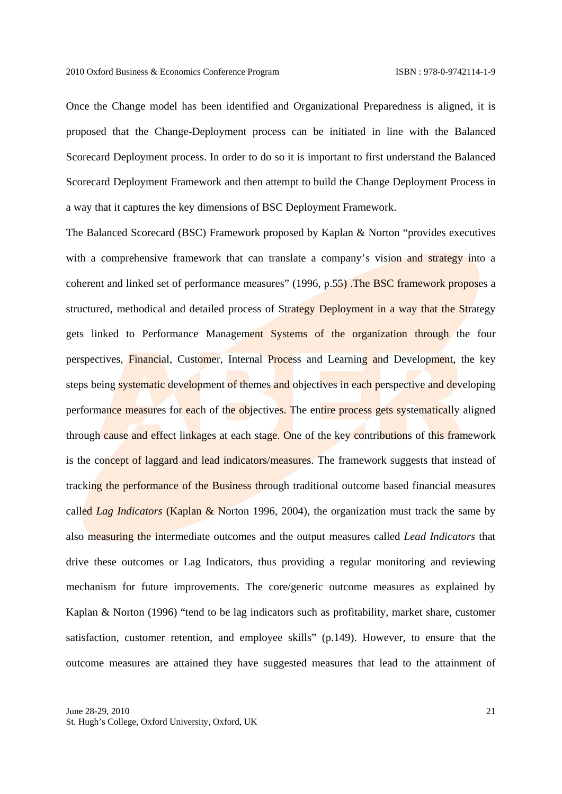Once the Change model has been identified and Organizational Preparedness is aligned, it is proposed that the Change-Deployment process can be initiated in line with the Balanced Scorecard Deployment process. In order to do so it is important to first understand the Balanced Scorecard Deployment Framework and then attempt to build the Change Deployment Process in a way that it captures the key dimensions of BSC Deployment Framework.

The Balanced Scorecard (BSC) Framework proposed by Kaplan & Norton "provides executives with a comprehensive framework that can translate a company's vision and strategy into a coherent and linked set of performance measures" (1996, p.55) .The BSC framework proposes a structured, methodical and detailed process of Strategy Deployment in a way that the Strategy gets linked to Performance Management Systems of the organization through the four perspectives, Financial, Customer, Internal Process and Learning and Development, the key steps being systematic development of themes and objectives in each perspective and developing performance measures for each of the objectives. The entire process gets systematically aligned through cause and effect linkages at each stage. One of the key contributions of this framework is the concept of laggard and lead indicators/measures. The framework suggests that instead of tracking the performance of the Business through traditional outcome based financial measures called *Lag Indicators* (Kaplan & Norton 1996, 2004), the organization must track the same by also measuring the intermediate outcomes and the output measures called *Lead Indicators* that drive these outcomes or Lag Indicators, thus providing a regular monitoring and reviewing mechanism for future improvements. The core/generic outcome measures as explained by Kaplan & Norton (1996) "tend to be lag indicators such as profitability, market share, customer satisfaction, customer retention, and employee skills" (p.149). However, to ensure that the outcome measures are attained they have suggested measures that lead to the attainment of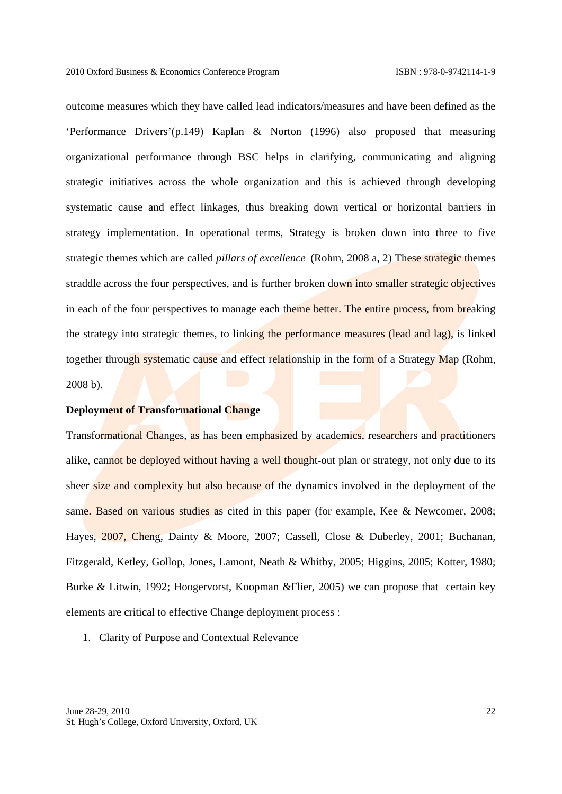outcome measures which they have called lead indicators/measures and have been defined as the 'Performance Drivers'(p.149) Kaplan & Norton (1996) also proposed that measuring organizational performance through BSC helps in clarifying, communicating and aligning strategic initiatives across the whole organization and this is achieved through developing systematic cause and effect linkages, thus breaking down vertical or horizontal barriers in strategy implementation. In operational terms, Strategy is broken down into three to five strategic themes which are called *pillars of excellence* (Rohm, 2008 a, 2) These strategic themes straddle across the four perspectives, and is further broken down into smaller strategic objectives in each of the four perspectives to manage each theme better. The entire process, from breaking the strategy into strategic themes, to linking the performance measures (lead and lag), is linked together through systematic cause and effect relationship in the form of a Strategy Map (Rohm, 2008 b).

### **Deployment of Transformational Change**

Transformational Changes, as has been emphasized by academics, researchers and practitioners alike, cannot be deployed without having a well thought-out plan or strategy, not only due to its sheer size and complexity but also because of the dynamics involved in the deployment of the same. Based on various studies as cited in this paper (for example, Kee & Newcomer, 2008; Hayes, 2007, Cheng, Dainty & Moore, 2007; Cassell, Close & Duberley, 2001; Buchanan, Fitzgerald, Ketley, Gollop, Jones, Lamont, Neath & Whitby, 2005; Higgins, 2005; Kotter, 1980; Burke & Litwin, 1992; Hoogervorst, Koopman &Flier, 2005) we can propose that certain key elements are critical to effective Change deployment process :

### 1. Clarity of Purpose and Contextual Relevance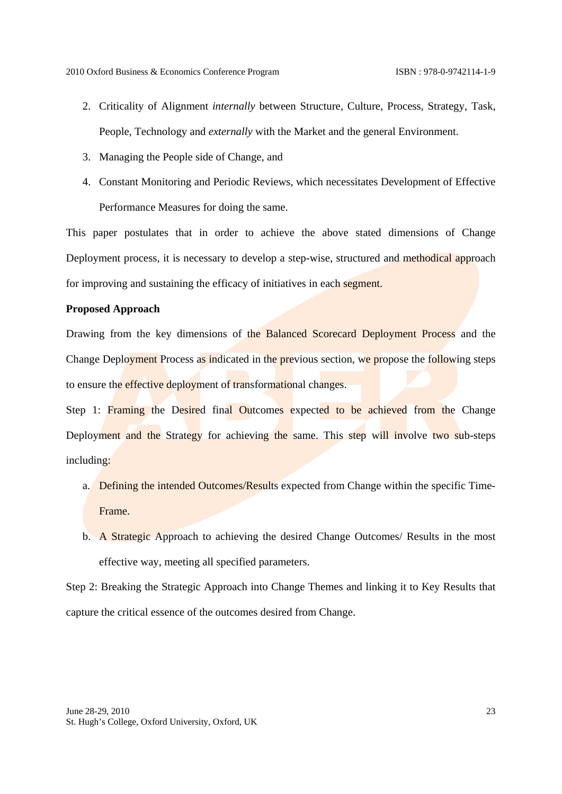- 2. Criticality of Alignment *internally* between Structure, Culture, Process, Strategy, Task, People, Technology and *externally* with the Market and the general Environment.
- 3. Managing the People side of Change, and
- 4. Constant Monitoring and Periodic Reviews, which necessitates Development of Effective Performance Measures for doing the same.

This paper postulates that in order to achieve the above stated dimensions of Change Deployment process, it is necessary to develop a step-wise, structured and methodical approach for improving and sustaining the efficacy of initiatives in each segment.

### **Proposed Approach**

Drawing from the key dimensions of the Balanced Scorecard Deployment Process and the Change Deployment Process as indicated in the previous section, we propose the following steps to ensure the effective deployment of transformational changes.

Step 1: Framing the Desired final Outcomes expected to be achieved from the Change Deployment and the Strategy for achieving the same. This step will involve two sub-steps including:

- a. Defining the intended Outcomes/Results expected from Change within the specific Time-Frame.
- b. A Strategic Approach to achieving the desired Change Outcomes/ Results in the most effective way, meeting all specified parameters.

Step 2: Breaking the Strategic Approach into Change Themes and linking it to Key Results that capture the critical essence of the outcomes desired from Change.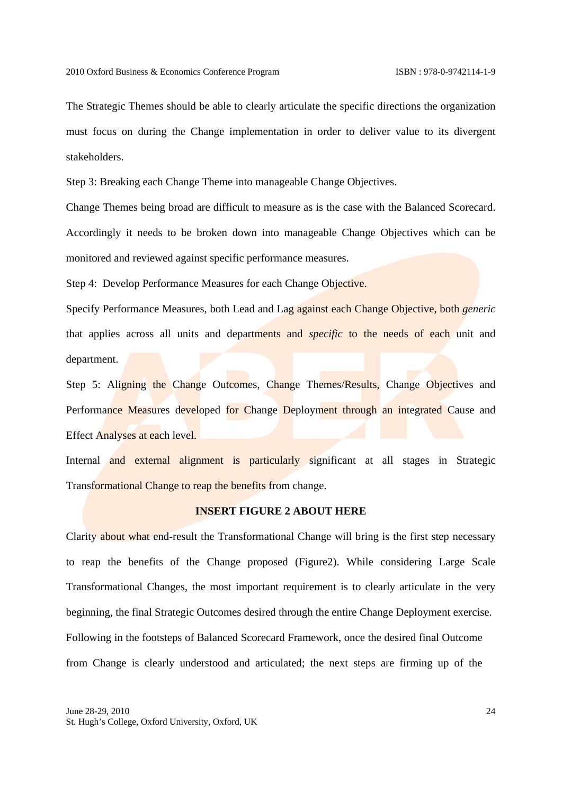The Strategic Themes should be able to clearly articulate the specific directions the organization must focus on during the Change implementation in order to deliver value to its divergent stakeholders.

Step 3: Breaking each Change Theme into manageable Change Objectives.

Change Themes being broad are difficult to measure as is the case with the Balanced Scorecard. Accordingly it needs to be broken down into manageable Change Objectives which can be monitored and reviewed against specific performance measures.

Step 4: Develop Performance Measures for each Change Objective.

Specify Performance Measures, both Lead and Lag against each Change Objective, both *generic*  that applies across all units and departments and *specific* to the needs of each unit and department.

Step 5: Aligning the Change Outcomes, Change Themes/Results, Change Objectives and Performance Measures developed for Change Deployment through an integrated Cause and Effect Analyses at each level.

Internal and external alignment is particularly significant at all stages in Strategic Transformational Change to reap the benefits from change.

### **INSERT FIGURE 2 ABOUT HERE**

Clarity about what end-result the Transformational Change will bring is the first step necessary to reap the benefits of the Change proposed (Figure2). While considering Large Scale Transformational Changes, the most important requirement is to clearly articulate in the very beginning, the final Strategic Outcomes desired through the entire Change Deployment exercise. Following in the footsteps of Balanced Scorecard Framework, once the desired final Outcome from Change is clearly understood and articulated; the next steps are firming up of the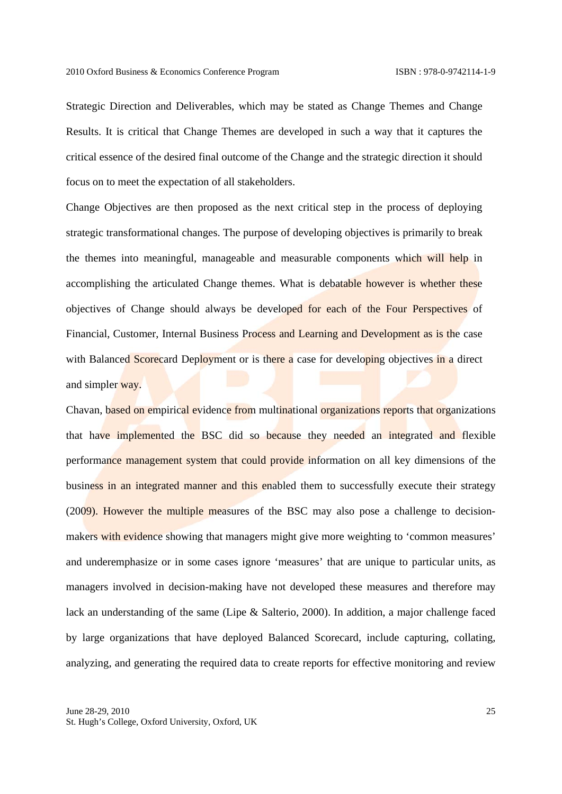Strategic Direction and Deliverables, which may be stated as Change Themes and Change Results. It is critical that Change Themes are developed in such a way that it captures the critical essence of the desired final outcome of the Change and the strategic direction it should focus on to meet the expectation of all stakeholders.

Change Objectives are then proposed as the next critical step in the process of deploying strategic transformational changes. The purpose of developing objectives is primarily to break the themes into meaningful, manageable and measurable components which will help in accomplishing the articulated Change themes. What is debatable however is whether these objectives of Change should always be developed for each of the Four Perspectives of Financial, Customer, Internal Business Process and Learning and Development as is the case with Balanced Scorecard Deployment or is there a case for developing objectives in a direct and simpler way.

Chavan, based on empirical evidence from multinational organizations reports that organizations that have implemented the BSC did so because they needed an integrated and flexible performance management system that could provide information on all key dimensions of the business in an integrated manner and this enabled them to successfully execute their strategy (2009). However the multiple measures of the BSC may also pose a challenge to decisionmakers with evidence showing that managers might give more weighting to 'common measures' and underemphasize or in some cases ignore 'measures' that are unique to particular units, as managers involved in decision-making have not developed these measures and therefore may lack an understanding of the same (Lipe & Salterio, 2000). In addition, a major challenge faced by large organizations that have deployed Balanced Scorecard, include capturing, collating, analyzing, and generating the required data to create reports for effective monitoring and review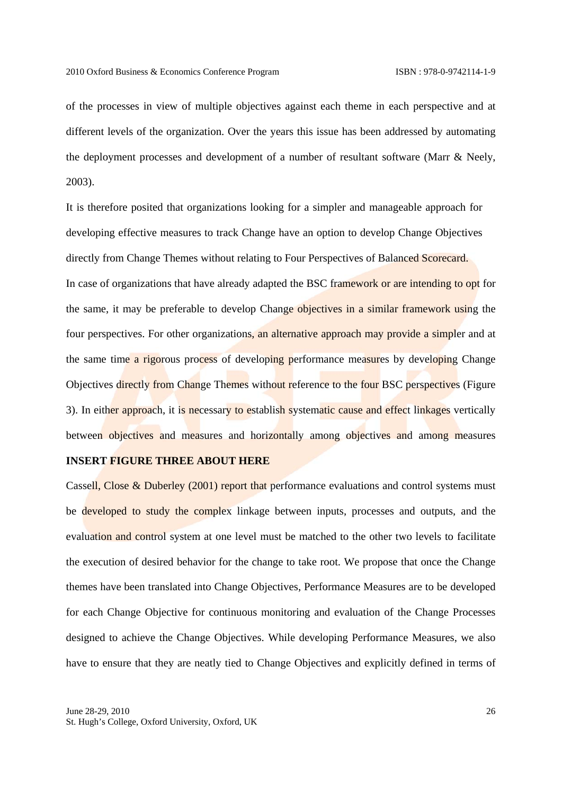of the processes in view of multiple objectives against each theme in each perspective and at different levels of the organization. Over the years this issue has been addressed by automating the deployment processes and development of a number of resultant software (Marr & Neely, 2003).

It is therefore posited that organizations looking for a simpler and manageable approach for developing effective measures to track Change have an option to develop Change Objectives directly from Change Themes without relating to Four Perspectives of Balanced Scorecard. In case of organizations that have already adapted the BSC framework or are intending to opt for the same, it may be preferable to develop Change objectives in a similar framework using the four perspectives. For other organizations, an alternative approach may provide a simpler and at the same time a rigorous process of developing performance measures by developing Change Objectives directly from Change Themes without reference to the four BSC perspectives (Figure 3). In either approach, it is necessary to establish systematic cause and effect linkages vertically between objectives and measures and horizontally among objectives and among measures

## **INSERT FIGURE THREE ABOUT HERE**

Cassell, Close & Duberley (2001) report that performance evaluations and control systems must be developed to study the complex linkage between inputs, processes and outputs, and the evaluation and control system at one level must be matched to the other two levels to facilitate the execution of desired behavior for the change to take root. We propose that once the Change themes have been translated into Change Objectives, Performance Measures are to be developed for each Change Objective for continuous monitoring and evaluation of the Change Processes designed to achieve the Change Objectives. While developing Performance Measures, we also have to ensure that they are neatly tied to Change Objectives and explicitly defined in terms of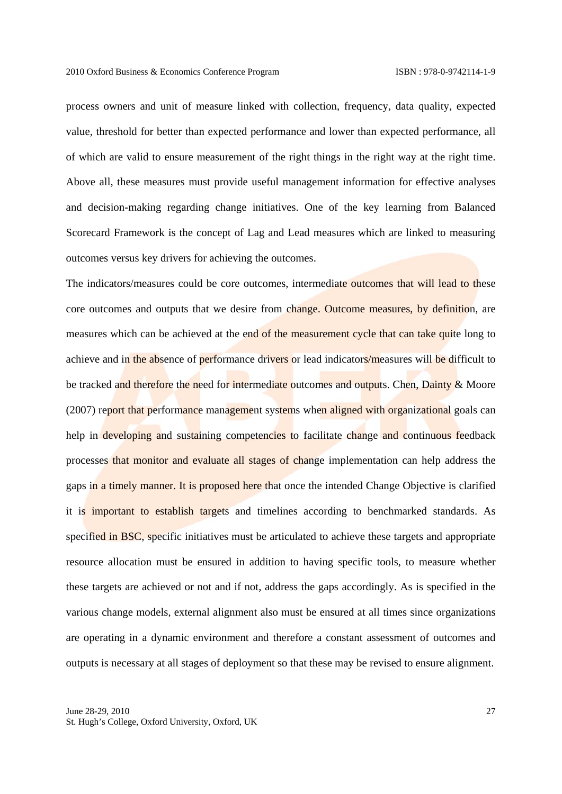process owners and unit of measure linked with collection, frequency, data quality, expected value, threshold for better than expected performance and lower than expected performance, all of which are valid to ensure measurement of the right things in the right way at the right time. Above all, these measures must provide useful management information for effective analyses and decision-making regarding change initiatives. One of the key learning from Balanced Scorecard Framework is the concept of Lag and Lead measures which are linked to measuring outcomes versus key drivers for achieving the outcomes.

The indicators/measures could be core outcomes, intermediate outcomes that will lead to these core outcomes and outputs that we desire from change. Outcome measures, by definition, are measures which can be achieved at the end of the measurement cycle that can take quite long to achieve and in the absence of performance drivers or lead indicators/measures will be difficult to be tracked and therefore the need for intermediate outcomes and outputs. Chen, Dainty & Moore (2007) report that performance management systems when aligned with organizational goals can help in developing and sustaining competencies to facilitate change and continuous feedback processes that monitor and evaluate all stages of change implementation can help address the gaps in a timely manner. It is proposed here that once the intended Change Objective is clarified it is important to establish targets and timelines according to benchmarked standards. As specified in BSC, specific initiatives must be articulated to achieve these targets and appropriate resource allocation must be ensured in addition to having specific tools, to measure whether these targets are achieved or not and if not, address the gaps accordingly. As is specified in the various change models, external alignment also must be ensured at all times since organizations are operating in a dynamic environment and therefore a constant assessment of outcomes and outputs is necessary at all stages of deployment so that these may be revised to ensure alignment.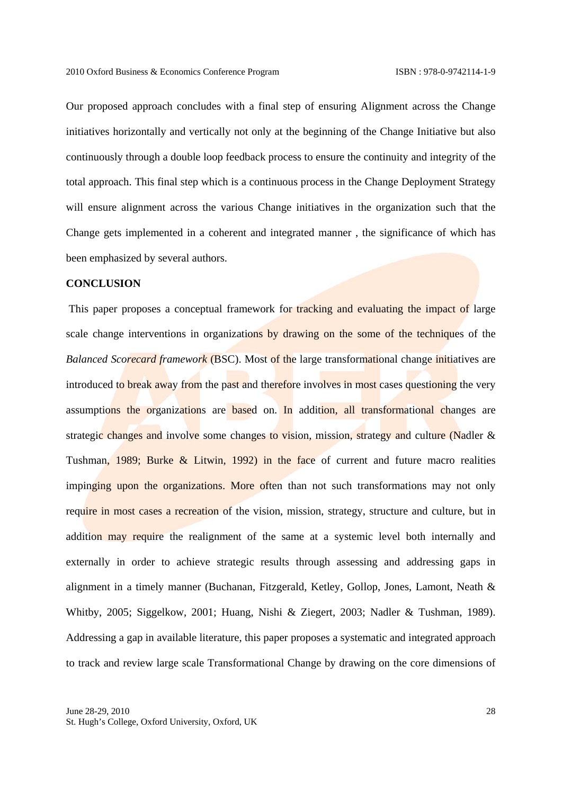Our proposed approach concludes with a final step of ensuring Alignment across the Change initiatives horizontally and vertically not only at the beginning of the Change Initiative but also continuously through a double loop feedback process to ensure the continuity and integrity of the total approach. This final step which is a continuous process in the Change Deployment Strategy will ensure alignment across the various Change initiatives in the organization such that the Change gets implemented in a coherent and integrated manner , the significance of which has been emphasized by several authors.

### **CONCLUSION**

This paper proposes a conceptual framework for tracking and evaluating the impact of large scale change interventions in organizations by drawing on the some of the techniques of the *Balanced Scorecard framework* (BSC). Most of the large transformational change initiatives are introduced to break away from the past and therefore involves in most cases questioning the very assumptions the organizations are based on. In addition, all transformational changes are strategic changes and involve some changes to vision, mission, strategy and culture (Nadler & Tushman, 1989; Burke & Litwin, 1992) in the face of current and future macro realities impinging upon the organizations. More often than not such transformations may not only require in most cases a recreation of the vision, mission, strategy, structure and culture, but in addition may require the realignment of the same at a systemic level both internally and externally in order to achieve strategic results through assessing and addressing gaps in alignment in a timely manner (Buchanan, Fitzgerald, Ketley, Gollop, Jones, Lamont, Neath & Whitby, 2005; Siggelkow, 2001; Huang, Nishi & Ziegert, 2003; Nadler & Tushman, 1989). Addressing a gap in available literature, this paper proposes a systematic and integrated approach to track and review large scale Transformational Change by drawing on the core dimensions of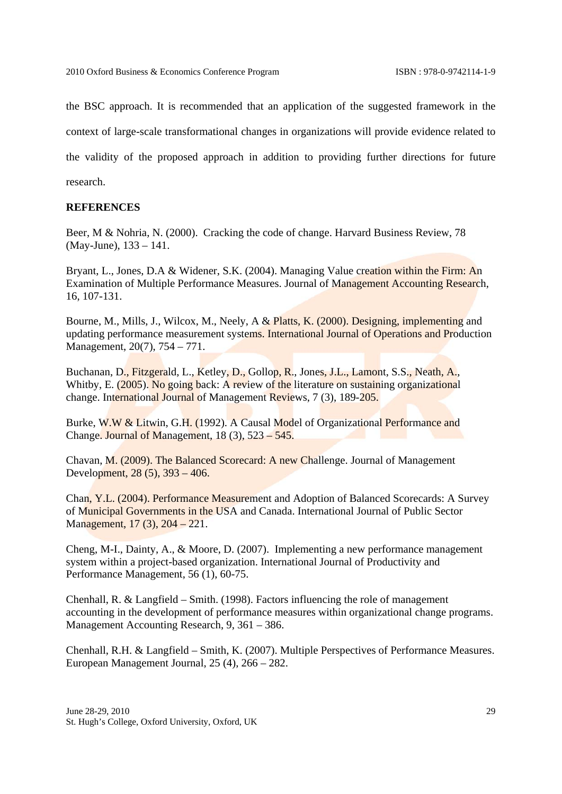the BSC approach. It is recommended that an application of the suggested framework in the context of large-scale transformational changes in organizations will provide evidence related to the validity of the proposed approach in addition to providing further directions for future research.

### **REFERENCES**

Beer, M & Nohria, N. (2000). Cracking the code of change. Harvard Business Review, 78 (May-June), 133 – 141.

Bryant, L., Jones, D.A & Widener, S.K. (2004). Managing Value creation within the Firm: An Examination of Multiple Performance Measures. Journal of Management Accounting Research, 16, 107-131.

Bourne, M., Mills, J., Wilcox, M., Neely, A & Platts, K. (2000). Designing, implementing and updating performance measurement systems. International Journal of Operations and Production Management, 20(7), 754 – 771.

Buchanan, D., Fitzgerald, L., Ketley, D., Gollop, R., Jones, J.L., Lamont, S.S., Neath, A., Whitby, E. (2005). No going back: A review of the literature on sustaining organizational change. International Journal of Management Reviews, 7 (3), 189-205.

Burke, W.W & Litwin, G.H. (1992). A Causal Model of Organizational Performance and Change. Journal of Management, 18 (3), 523 – 545.

Chavan, M. (2009). The Balanced Scorecard: A new Challenge. Journal of Management Development, 28 (5), 393 – 406.

Chan, Y.L. (2004). Performance Measurement and Adoption of Balanced Scorecards: A Survey of Municipal Governments in the USA and Canada. International Journal of Public Sector Management, 17 (3), 204 – 221.

Cheng, M-I., Dainty, A., & Moore, D. (2007). Implementing a new performance management system within a project-based organization. International Journal of Productivity and Performance Management, 56 (1), 60-75.

Chenhall, R. & Langfield – Smith. (1998). Factors influencing the role of management accounting in the development of performance measures within organizational change programs. Management Accounting Research, 9, 361 – 386.

Chenhall, R.H. & Langfield – Smith, K. (2007). Multiple Perspectives of Performance Measures. European Management Journal, 25 (4), 266 – 282.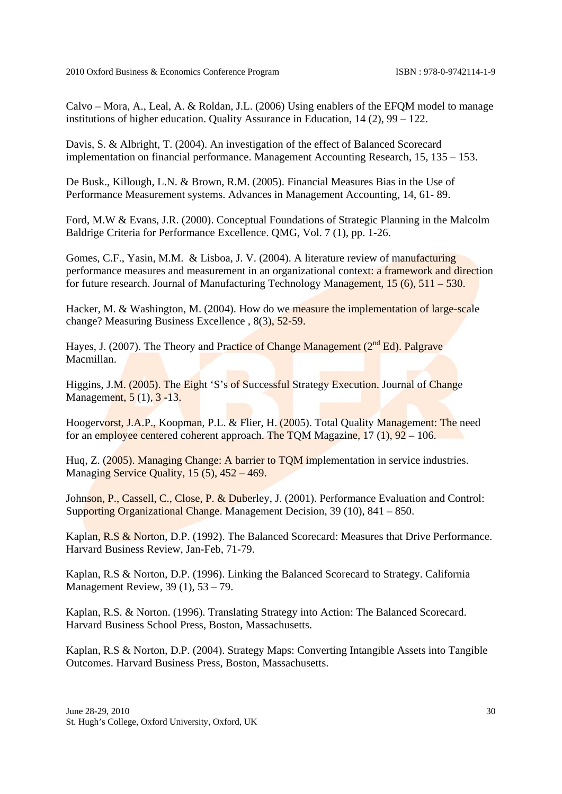2010 Oxford Business & Economics Conference Program ISBN : 978-0-9742114-1-9

Calvo – Mora, A., Leal, A. & Roldan, J.L. (2006) Using enablers of the EFQM model to manage institutions of higher education. Quality Assurance in Education, 14 (2), 99 – 122.

Davis, S. & Albright, T. (2004). An investigation of the effect of Balanced Scorecard implementation on financial performance. Management Accounting Research, 15, 135 – 153.

De Busk., Killough, L.N. & Brown, R.M. (2005). Financial Measures Bias in the Use of Performance Measurement systems. Advances in Management Accounting, 14, 61- 89.

Ford, M.W & Evans, J.R. (2000). Conceptual Foundations of Strategic Planning in the Malcolm Baldrige Criteria for Performance Excellence. QMG, Vol. 7 (1), pp. 1-26.

Gomes, C.F., Yasin, M.M. & Lisboa, J. V. (2004). A literature review of manufacturing performance measures and measurement in an organizational context: a framework and direction for future research. Journal of Manufacturing Technology Management, 15 (6), 511 – 530.

Hacker, M. & Washington, M. (2004). How do we measure the implementation of large-scale change? Measuring Business Excellence , 8(3), 52-59.

Hayes, J. (2007). The Theory and Practice of Change Management  $(2^{nd} Ed)$ . Palgrave Macmillan.

Higgins, J.M. (2005). The Eight 'S's of Successful Strategy Execution. Journal of Change Management, 5 (1), 3 -13.

Hoogervorst, J.A.P., Koopman, P.L. & Flier, H. (2005). Total Quality Management: The need for an employee centered coherent approach. The TQM Magazine,  $17$  (1),  $92 - 106$ .

Huq, Z. (2005). Managing Change: A barrier to TQM implementation in service industries. Managing Service Quality, 15 (5), 452 – 469.

Johnson, P., Cassell, C., Close, P. & Duberley, J. (2001). Performance Evaluation and Control: Supporting Organizational Change. Management Decision, 39 (10), 841 – 850.

Kaplan, R.S & Norton, D.P. (1992). The Balanced Scorecard: Measures that Drive Performance. Harvard Business Review, Jan-Feb, 71-79.

Kaplan, R.S & Norton, D.P. (1996). Linking the Balanced Scorecard to Strategy. California Management Review, 39 (1), 53 – 79.

Kaplan, R.S. & Norton. (1996). Translating Strategy into Action: The Balanced Scorecard. Harvard Business School Press, Boston, Massachusetts.

Kaplan, R.S & Norton, D.P. (2004). Strategy Maps: Converting Intangible Assets into Tangible Outcomes. Harvard Business Press, Boston, Massachusetts.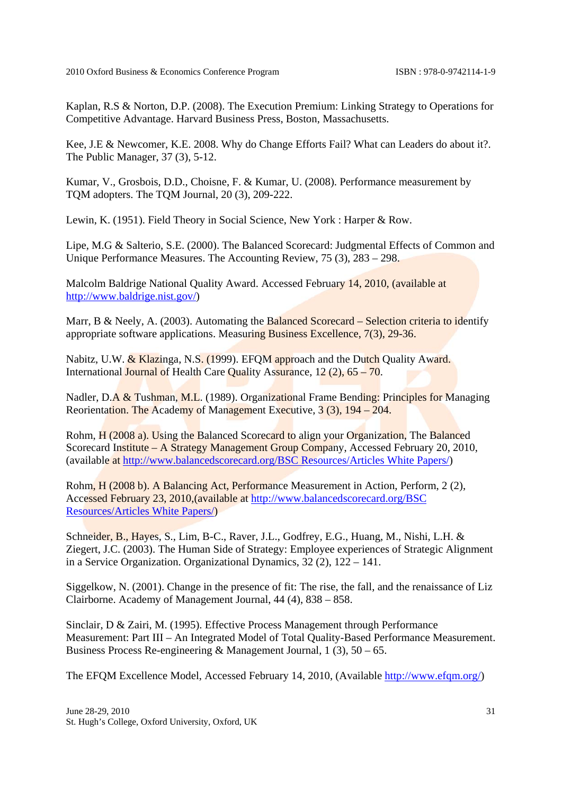Kaplan, R.S & Norton, D.P. (2008). The Execution Premium: Linking Strategy to Operations for Competitive Advantage. Harvard Business Press, Boston, Massachusetts.

Kee, J.E & Newcomer, K.E. 2008. Why do Change Efforts Fail? What can Leaders do about it?. The Public Manager, 37 (3), 5-12.

Kumar, V., Grosbois, D.D., Choisne, F. & Kumar, U. (2008). Performance measurement by TQM adopters. The TQM Journal, 20 (3), 209-222.

Lewin, K. (1951). Field Theory in Social Science, New York : Harper & Row.

Lipe, M.G & Salterio, S.E. (2000). The Balanced Scorecard: Judgmental Effects of Common and Unique Performance Measures. The Accounting Review, 75 (3), 283 – 298.

Malcolm Baldrige National Quality Award. Accessed February 14, 2010, (available at http://www.baldrige.nist.gov/)

Marr, B & Neely, A. (2003). Automating the Balanced Scorecard – Selection criteria to identify appropriate software applications. Measuring Business Excellence, 7(3), 29-36.

Nabitz, U.W. & Klazinga, N.S. (1999). EFOM approach and the Dutch Quality Award. International Journal of Health Care Quality Assurance, 12 (2), 65 – 70.

Nadler, D.A & Tushman, M.L. (1989). Organizational Frame Bending: Principles for Managing Reorientation. The Academy of Management Executive, 3 (3), 194 – 204.

Rohm, H (2008 a). Using the Balanced Scorecard to align your Organization, The Balanced Scorecard Institute – A Strategy Management Group Company, Accessed February 20, 2010, (available at http://www.balancedscorecard.org/BSC Resources/Articles White Papers/)

Rohm, H (2008 b). A Balancing Act, Performance Measurement in Action, Perform, 2 (2), Accessed February 23, 2010,(available at http://www.balancedscorecard.org/BSC Resources/Articles White Papers/)

Schneider, B., Hayes, S., Lim, B-C., Raver, J.L., Godfrey, E.G., Huang, M., Nishi, L.H. & Ziegert, J.C. (2003). The Human Side of Strategy: Employee experiences of Strategic Alignment in a Service Organization. Organizational Dynamics, 32 (2), 122 – 141.

Siggelkow, N. (2001). Change in the presence of fit: The rise, the fall, and the renaissance of Liz Clairborne. Academy of Management Journal, 44 (4), 838 – 858.

Sinclair, D & Zairi, M. (1995). Effective Process Management through Performance Measurement: Part III – An Integrated Model of Total Quality-Based Performance Measurement. Business Process Re-engineering & Management Journal,  $1(3)$ ,  $50 - 65$ .

The EFQM Excellence Model, Accessed February 14, 2010, (Available http://www.efqm.org/)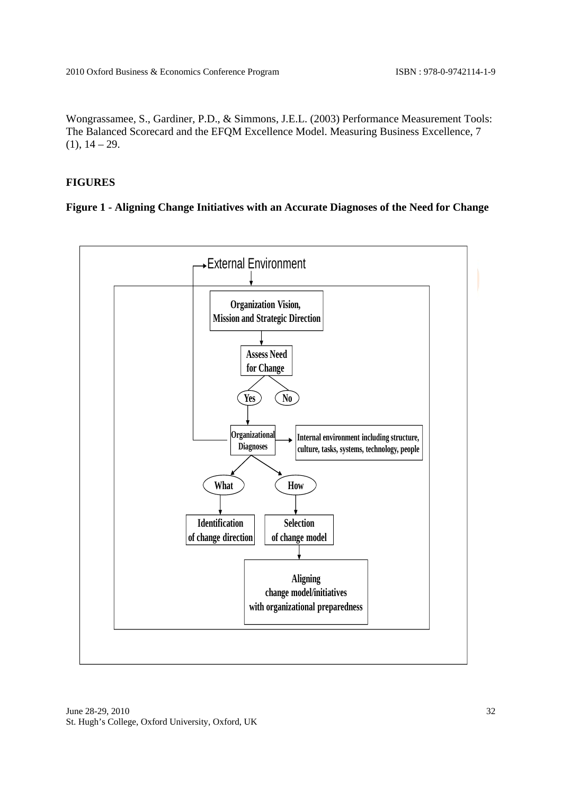Wongrassamee, S., Gardiner, P.D., & Simmons, J.E.L. (2003) Performance Measurement Tools: The Balanced Scorecard and the EFQM Excellence Model. Measuring Business Excellence, 7  $(1), 14 - 29.$ 

## **FIGURES**

## **Figure 1 - Aligning Change Initiatives with an Accurate Diagnoses of the Need for Change**

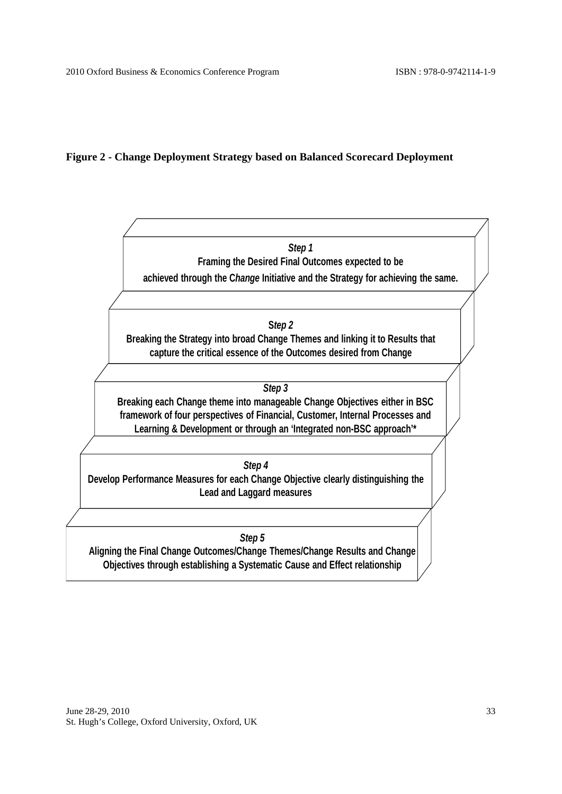## **Figure 2 - Change Deployment Strategy based on Balanced Scorecard Deployment**